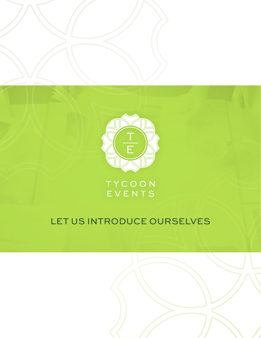

TYCOON EVENTS

# LET US INTRODUCE OURSELVES

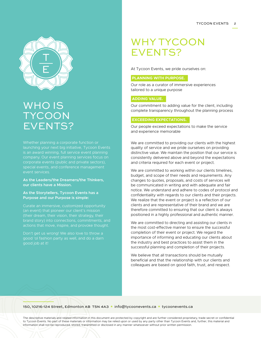

# WHO IS **TYCOON** EVENTS?

launching your next big initiative, Tycoon Events special events, and conference management event services.

### **As the Leaders/the Dreamers/the Thinkers, our clients have a Mission.**

#### **As the Storytellers, Tycoon Events has a Purpose and our Purpose is simple:**

Curate an immersive, customized opportunity (an event) that pioneer our client's mission (their dream, their vision, their strategy, their

Don't get us wrong! We also love to throw a good job at it!

# WHY TYCOON EVENTS?

At Tycoon Events, we pride ourselves on:

## **PLANNING WITH PURPOSE.**

Our role as a curator of immersive experiences tailored to a unique purpose

# **ADDING VALUE.**

Our commitment to adding value for the client, including complete transparency throughout the planning process

## **EXCEEDING EXPECTATIONS.**

Our people exceed expectations to make the service and experience memorable

We are committed to providing our clients with the highest quality of service and we pride ourselves on providing distinctive value. We maintain the position that our service is consistently delivered above and beyond the expectations and criteria required for each event or project.

We are committed to working within our clients timelines, budget, and scope of their needs and requirements. Any changes to quotes, proposals, and costs of services will be communicated in writing and with adequate and fair notice. We understand and adhere to codes of protocol and confidentiality with regards to our clients and their projects. We realize that the event or project is a reflection of our clients and are representative of their brand and we are therefore committed to ensuring that our client is always positioned in a highly professional and authentic manner.

We are committed to directing and assisting our clients in the most cost-effective manner to ensure the successful completion of their event or project. We regard the importance of informing and educating our clients about the industry and best practices to assist them in the successful planning and completion of their projects.

We believe that all transactions should be mutually beneficial and that the relationship with our clients and colleagues are based on good faith, trust, and respect.

#### 150, 10216-124 Street, Edmonton Ab T5N 4A3 **\*** info@tycoonevents.ca **\*** [tycoonevents.ca](www.tycoonevents.ca)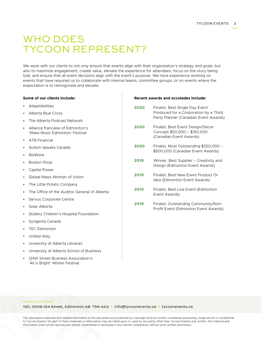# WHO DOES TYCOON REPRESENT?

We work with our clients to not only ensure that events align with their organization's strategy and goals, but also to maximize engagement, create value, elevate the experience for attendees, focus on the story being told, and ensure that all event decisions align with the event's purpose. We have experience working on events that have required us to collaborate with internal teams, committee groups, or on events where the expectation is to reinvigorate and elevate.

#### **Some of our clients include:**

- **\*** AdaptAbilities
- **\*** Alberta Blue Cross
- **\*** The Alberta Podcast Network
- **\*** Alliance francaise of Edmonton's 'Make Music Edmonton' Festival
- **\*** ATB Financial
- **\*** Autism Speaks Canada
- **\*** BioWare
- **\*** Boston Pizza
- **\*** Capital Power
- **\*** Global News Woman of Vision
- **\*** The Little Potato Company
- **\*** The Office of the Auditor General of Alberta
- **\*** Servus Corporate Centre
- **\*** Solar Alberta
- **\*** Stollery Children's Hospital Foundation
- **\*** Syngenta Canada
- **\*** TEC Edmonton
- **\*** United Way
- **\*** University of Alberta Libraries
- **\*** University of Alberta School of Business
- **\*** 124th Street Business Association's 'All is Bright' Winter Festival

#### **Recent awards and accolades include:**

- **2020** Finalist, Best Single Day Event Produced for a Corporation by a Third Party Planner (Canadian Event Awards)
- **2020** Finalist, Best Event Design/Decor Concept \$50,000 – \$150,000 (Canadian Event Awards)
- **2020** Finalist, Most Outstanding \$250,000 \$500,000 (Canadian Event Awards)
- **2019** Winner, Best Supplier Creativity and Design (Edmonton Event Awards)
- **2019 Finalist, Best New Event Product Or** Idea (Edmonton Event Awards)
- **2019** Finalist, Best Live Event (Edmonton Event Awards)
- **2019** Finalist, Outstanding Community/Non-Profit Event (Edmonton Event Awards)

#### 150, 10216-124 Street, Edmonton Ab T5N 4A3 **\*** info@tycoonevents.ca **\*** [tycoonevents.ca](www.tycoonevents.ca)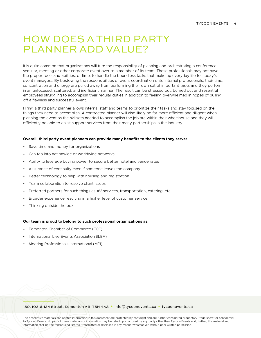# HOW DOES A THIRD PARTY PLANNER ADD VALUE?

It is quite common that organizations will turn the responsibility of planning and orchestrating a conference, seminar, meeting or other corporate event over to a member of its team. These professionals may not have the proper tools and abilities, or time, to handle the boundless tasks that make up everyday life for today's event managers. By bestowing the responsibilities of event coordination onto internal professionals, their time, concentration and energy are pulled away from performing their own set of important tasks and they perform in an unfocused, scattered, and inefficient manner. The result can be stressed out, burned out and resentful employees struggling to accomplish their regular duties in addition to feeling overwhelmed in hopes of pulling off a flawless and successful event.

Hiring a third party planner allows internal staff and teams to prioritize their tasks and stay focused on the things they need to accomplish. A contracted planner will also likely be far more efficient and diligent when planning the event as the skillsets needed to accomplish the job are within their wheelhouse and they will efficiently be able to enlist support services from their many partnerships in the industry.

#### **Overall, third party event planners can provide many benefits to the clients they serve:**

- **\*** Save time and money for organizations
- **\*** Can tap into nationwide or worldwide networks
- **\*** Ability to leverage buying power to secure better hotel and venue rates
- **\*** Assurance of continuity even if someone leaves the company
- **\*** Better technology to help with housing and registration
- **\*** Team collaboration to resolve client issues
- **\*** Preferred partners for such things as AV services, transportation, catering, etc.
- **\*** Broader experience resulting in a higher level of customer service
- **\*** Thinking outside the box

#### **Our team is proud to belong to such professional organizations as:**

- **\*** Edmonton Chamber of Commerce (ECC)
- **International Live Events Association (ILEA)**
- **\*** Meeting Professionals International (MPI)

#### 150, 10216-124 Street, Edmonton Ab T5N 4A3 **\*** info@tycoonevents.ca **\*** [tycoonevents.ca](www.tycoonevents.ca)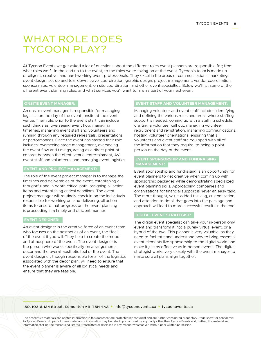# WHAT ROLE DOES TYCOON PLAY?

At Tycoon Events we get asked a lot of questions about the different roles event planners are responsible for; from what roles we fill in the lead up to the event, to the roles we're taking on at the event. Tycoon's team is made up of diligent, creative, and hard-working event professionals. They excel in the areas of communications, marketing, event design, set up and tear down, travel coordination, graphic design, project management, vendor coordination, sponsorships, volunteer management, on site coordination, and other event specialties. Below we'll list some of the different event planning roles, and what services you'll want to hire as part of your next event.

# **ONSITE EVENT MANAGER:**

An onsite event manager is responsible for managing logistics on the day of the event, onsite at the event venue. Their role, prior to the event start, can include such things as: overseeing event flow, managing timelines, managing event staff and volunteers and running through any required rehearsals, presentations or performances. Once the event has started their role includes: overseeing stage management, overseeing the event flow and timings, acting as a direct point of contact between the client, venue, entertainment, AV, event staff and volunteers, and managing event logistics.

# **EVENT AND PROJECT MANAGEMENT:**

The role of the event project manager is to manage the timelines and deliverables of the event, establishing a thoughtful and in depth critical path, assigning all action items and establishing critical deadlines. The event project manager will routinely check in on the individuals responsible for working on, and delivering, all action items to ensure that progress on the event planning is proceeding in a timely and efficient manner.

#### **EVENT DESIGNER:**

An event designer is the creative force of an event team who focuses on the aesthetics of an event, the "feel" of the event if you will. They help to create the mood and atmosphere of the event. The event designer is the person who works specifically on arrangements, decor and the overall aesthetic feel of the event. The event designer, though responsible for all of the logistics associated with the decor plan, will need to ensure that the event planner is aware of all logistical needs and ensure that they are feasible.

# **EVENT STAFF AND VOLUNTEER MANAGEMENT:**

Managing volunteer and event staff includes identifying and defining the various roles and areas where staffing support is needed, coming up with a staffing schedule, drafting a volunteer call out, managing volunteer recruitment and registration, managing communications, hosting volunteer orientations, ensuring that all volunteers and event staff are equipped with all of the information that they require, to being a point person on the day of the event.

### **EVENT SPONSORSHIP AND FUNDRAISING MANAGEMENT:**

Event sponsorship and fundraising is an opportunity for event planners to get creative when coming up with sponsorship packages while demonstrating specialized event planning skills. Approaching companies and organizations for financial support is never an easy task. The more thought, value-added thinking, customization, and attention to detail that goes into the package and approach will lead to more successful results in the end.

#### **DIGITAL EVENT STRATEGIST:**

The digital event specialist can take your in-person only event and transform it into a purely virtual event, or a hybrid of the two. This planner is very valuable, as they need to facilitate and understand how to bring essential event elements like sponsorship to the digital world and make it just as effective as in-person events. The digital strategist works very closely with the event manager to make sure all plans align together.

#### 150, 10216-124 Street, Edmonton Ab T5N 4A3 **\*** info@tycoonevents.ca **\*** [tycoonevents.ca](www.tycoonevents.ca)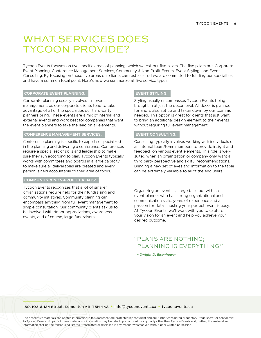# WHAT SERVICES DOES TYCOON PROVIDE?

Tycoon Events focuses on five specific areas of planning, which we call our five pillars. The five pillars are: Corporate Event Planning, Conference Management Services, Community & Non-Profit Events, Event Styling, and Event Consulting. By focusing on these five areas our clients can rest assured we are committed to fulfilling our specialties and have a common focal point. Here's how we summarize all five service types:

#### **CORPORATE EVENT PLANNING:**

Corporate planning usually involves full event management, as our corporate clients tend to take advantage of all of the specialties our third-party planners bring. These events are a mix of internal and external events and work best for companies that want the event planners to take the lead on all elements.

## **CONFERENCE MANAGEMENT SERVICES:**

Conference planning is specific to expertise specialized in the planning and delivering a conference. Conferences require a special set of skills and leadership to make sure they run according to plan. Tycoon Events typically works with committees and boards in a large capacity to make sure all deliverables are created and every person is held accountable to their area of focus.

#### **COMMUNITY & NON-PROFIT EVENTS:**

Tycoon Events recognizes that a lot of smaller organizations require help for their fundraising and community initiatives. Community planning can encompass anything from full event management to simple consultation. Our community clients ask us to be involved with donor appreciations, awareness events, and of course, large fundraisers.

#### **EVENT STYLING:**

Styling usually encompasses Tycoon Events being brought in at just the decor level. All decor is planned for and is also set up and taken down by our team as needed. This option is great for clients that just want to bring an additional design element to their events without requiring full event management.

### **EVENT CONSULTING:**

Consulting typically involves working with individuals or an internal team/team members to provide insight and feedback on various event elements. This role is wellsuited when an organization or company only want a third party perspective and skillful recommendations. Bringing a new set of eyes and information to the table can be extremely valuable to all of the end users.

Organizing an event is a large task, but with an event planner who has strong organizational and communication skills, years of experience and a passion for detail, hosting your perfect event is easy. At Tycoon Events, we'll work with you to capture your vision for an event and help you achieve your desired outcome.

# "PLANS ARE NOTHING; PLANNING IS EVERYTHING."

 *~ Dwight D. Eisenhower*

#### 150, 10216-124 Street, Edmonton Ab T5N 4A3 **\*** info@tycoonevents.ca **\*** [tycoonevents.ca](www.tycoonevents.ca)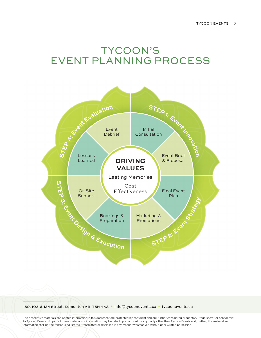# TYCOON'S EVENT PLANNING PROCESS



#### 150, 10216-124 Street, Edmonton Ab T5N 4A3 **\*** info@tycoonevents.ca **\*** [tycoonevents.ca](www.tycoonevents.ca)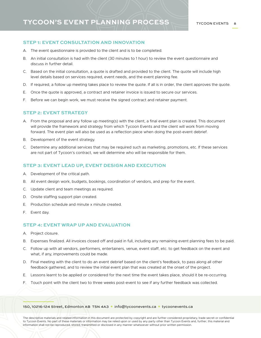# **TYCOON'S EVENT PLANNING PROCESS**

# **STEP 1: EVENT CONSULTATION AND INNOVATION**

- A. The event questionnaire is provided to the client and is to be completed.
- B. An initial consultation is had with the client (30 minutes to 1 hour) to review the event questionnaire and discuss in further detail.
- C. Based on the initial consultation, a quote is drafted and provided to the client. The quote will include high level details based on services required, event needs, and the event planning fee.
- D. If required, a follow up meeting takes place to review the quote. If all is in order, the client approves the quote.
- E. Once the quote is approved, a contract and retainer invoice is issued to secure our services.
- F. Before we can begin work, we must receive the signed contract and retainer payment.

### **STEP 2: EVENT STRATEGY**

- A. From the proposal and any follow up meeting(s) with the client, a final event plan is created. This document will provide the framework and strategy from which Tycoon Events and the client will work from moving forward. The event plan will also be used as a reflection piece when doing the post-event debrief.
- B. Development of the event strategy.
- C. Determine any additional services that may be required such as marketing, promotions, etc. If these services are not part of Tycoon's contract, we will determine who will be responsible for them.

#### **STEP 3: EVENT LEAD UP, EVENT DESIGN AND EXECUTION**

- A. Development of the critical path.
- B. All event design work, budgets, bookings, coordination of vendors, and prep for the event.
- C. Update client and team meetings as required.
- D. Onsite staffing support plan created.
- E. Production schedule and minute x minute created.
- F. Event day.

# **STEP 4: EVENT WRAP UP AND EVALUATION**

- A. Project closure.
- B. Expenses finalized. All invoices closed off and paid in full, including any remaining event planning fees to be paid.
- C. Follow up with all vendors, performers, entertainers, venue, event staff, etc. to get feedback on the event and what, if any, improvements could be made.
- D. Final meeting with the client to do an event debrief based on the client's feedback, to pass along all other feedback gathered, and to review the initial event plan that was created at the onset of the project.
- E. Lessons learnt to be applied or considered for the next time the event takes place, should it be re-occurring.
- F. Touch point with the client two to three weeks post-event to see if any further feedback was collected.

#### 150, 10216-124 Street, Edmonton Ab T5N 4A3 **\*** info@tycoonevents.ca **\*** [tycoonevents.ca](www.tycoonevents.ca)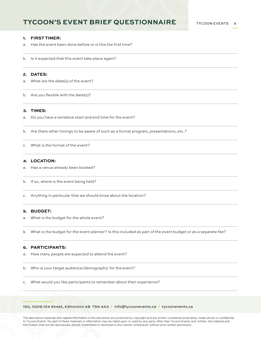# **TYCOON'S EVENT BRIEF QUESTIONNAIRE**

#### **1. FIRST TIMER:**

- a. Has the event been done before or is this the first time?
- b. Is it expected that this event take place again?

#### **2. DATES:**

- a. What are the date(s) of the event?
- b. Are you flexible with the date(s)?

### **3. TIMES:**

- a. Do you have a tentative start and end time for the event?
- b. Are there other timings to be aware of such as a formal program, presentations, etc.?
- c. What is the format of the event?

#### **4. LOCATION:**

- a. Has a venue already been booked?
- b. If so, where is the event being held?
- c. Anything in particular that we should know about the location?

## **5. BUDGET:**

- a. What is the budget for the whole event?
- b. What is the budget for the event planner? Is this included as part of the event budget or as a separate fee?

## **6. PARTICIPANTS:**

- a. How many people are expected to attend the event?
- b. Who is your target audience/demographic for the event?
- c. What would you like participants to remember about their experience?

150, 10216-124 Street, Edmonton Ab T5N 4A3 **\*** info@tycoonevents.ca **\*** [tycoonevents.ca](www.tycoonevents.ca)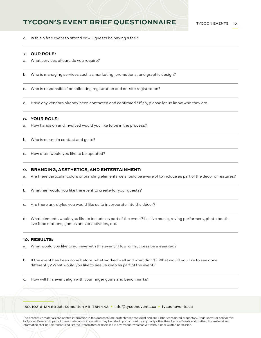# **TYCOON'S EVENT BRIEF QUESTIONNAIRE**

d. Is this a free event to attend or will guests be paying a fee?

## **7. OUR ROLE:**

- a. What services of ours do you require?
- b. Who is managing services such as marketing, promotions, and graphic design?
- c. Who is responsible f or collecting registration and on-site registration?
- d. Have any vendors already been contacted and confirmed? If so, please let us know who they are.

#### **8. YOUR ROLE:**

- a. How hands on and involved would you like to be in the process?
- b. Who is our main contact and go to?
- c. How often would you like to be updated?

#### **9. BRANDING, AESTHETICS, AND ENTERTAINMENT:**

- a. Are there particular colors or branding elements we should be aware of to include as part of the décor or features?
- b. What feel would you like the event to create for your guests?
- c. Are there any styles you would like us to incorporate into the décor?
- d. What elements would you like to include as part of the event? i.e. live music, roving performers, photo booth, live food stations, games and/or activities, etc.

### **10. RESULTS:**

- a. What would you like to achieve with this event? How will success be measured?
- b. If the event has been done before, what worked well and what didn't? What would you like to see done differently? What would you like to see us keep as part of the event?
- c. How will this event align with your larger goals and benchmarks?

150, 10216-124 Street, Edmonton Ab T5N 4A3 **\*** info@tycoonevents.ca **\*** [tycoonevents.ca](www.tycoonevents.ca)